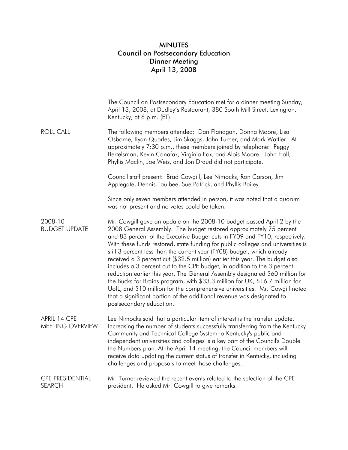## MINUTES Council on Postsecondary Education Dinner Meeting April 13, 2008

|                                          | The Council on Postsecondary Education met for a dinner meeting Sunday,<br>April 13, 2008, at Dudley's Restaurant, 380 South Mill Street, Lexington,<br>Kentucky, at 6 p.m. (ET).                                                                                                                                                                                                                                                                                                                                                                                                                                                                                                                                                                                                                                                                                                                              |
|------------------------------------------|----------------------------------------------------------------------------------------------------------------------------------------------------------------------------------------------------------------------------------------------------------------------------------------------------------------------------------------------------------------------------------------------------------------------------------------------------------------------------------------------------------------------------------------------------------------------------------------------------------------------------------------------------------------------------------------------------------------------------------------------------------------------------------------------------------------------------------------------------------------------------------------------------------------|
| <b>ROLL CALL</b>                         | The following members attended: Dan Flanagan, Donna Moore, Lisa<br>Osborne, Ryan Quarles, Jim Skaggs, John Turner, and Mark Wattier. At<br>approximately 7:30 p.m., these members joined by telephone: Peggy<br>Bertelsman, Kevin Canafax, Virginia Fox, and Alois Moore. John Hall,<br>Phyllis Maclin, Joe Weis, and Jon Draud did not participate.                                                                                                                                                                                                                                                                                                                                                                                                                                                                                                                                                           |
|                                          | Council staff present: Brad Cowgill, Lee Nimocks, Ron Carson, Jim<br>Applegate, Dennis Taulbee, Sue Patrick, and Phyllis Bailey.                                                                                                                                                                                                                                                                                                                                                                                                                                                                                                                                                                                                                                                                                                                                                                               |
|                                          | Since only seven members attended in person, it was noted that a quorum<br>was not present and no votes could be taken.                                                                                                                                                                                                                                                                                                                                                                                                                                                                                                                                                                                                                                                                                                                                                                                        |
| 2008-10<br><b>BUDGET UPDATE</b>          | Mr. Cowgill gave an update on the 2008-10 budget passed April 2 by the<br>2008 General Assembly. The budget restored approximately 75 percent<br>and 83 percent of the Executive Budget cuts in FY09 and FY10, respectively.<br>With these funds restored, state funding for public colleges and universities is<br>still 3 percent less than the current year (FY08) budget, which already<br>received a 3 percent cut (\$32.5 million) earlier this year. The budget also<br>includes a 3 percent cut to the CPE budget, in addition to the 3 percent<br>reduction earlier this year. The General Assembly designated \$60 million for<br>the Bucks for Brains program, with \$33.3 million for UK, \$16.7 million for<br>UofL, and \$10 million for the comprehensive universities. Mr. Cowgill noted<br>that a significant portion of the additional revenue was designated to<br>postsecondary education. |
| APRIL 14 CPE<br>MEETING OVERVIEW         | Lee Nimocks said that a particular item of interest is the transfer update.<br>Increasing the number of students successfully transferring from the Kentucky<br>Community and Technical College System to Kentucky's public and<br>independent universities and colleges is a key part of the Council's Double<br>the Numbers plan. At the April 14 meeting, the Council members will<br>receive data updating the current status of transfer in Kentucky, including<br>challenges and proposals to meet those challenges.                                                                                                                                                                                                                                                                                                                                                                                     |
| <b>CPE PRESIDENTIAL</b><br><b>SEARCH</b> | Mr. Turner reviewed the recent events related to the selection of the CPE<br>president. He asked Mr. Cowgill to give remarks.                                                                                                                                                                                                                                                                                                                                                                                                                                                                                                                                                                                                                                                                                                                                                                                  |